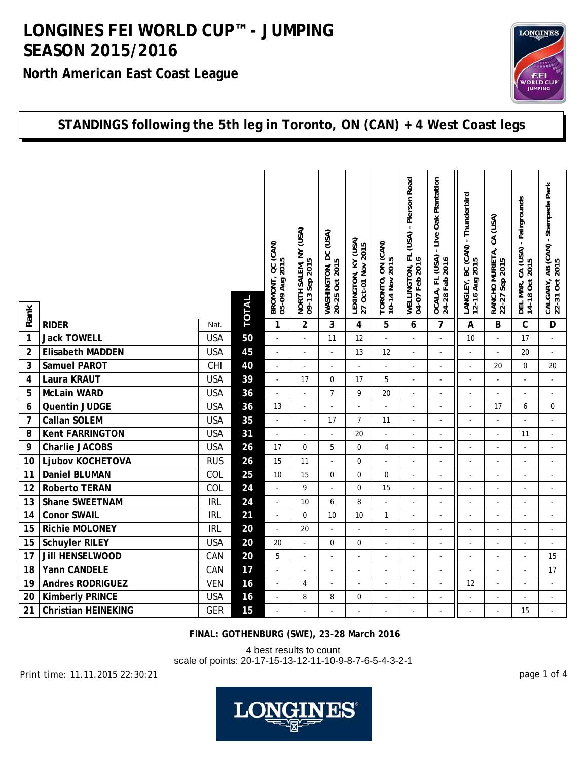**North American East Coast League**



#### **STANDINGS following the 5th leg in Toronto, ON (CAN) + 4 West Coast legs**

| Rank           |                            |            | <b>TOTAL</b> | BROMONT, QC (CAN)<br>05-09 Aug 2015<br>05-09 Aug 201 | NORTH SALEM, NY (USA)<br>09-13 Sep 2015 | WASHINGTON, DC (USA)<br>20-25 Oct 2015 | LEXINGTON, KY (USA)<br>27 Oct-01 Nov 2015 | TORONTO, ON (CAN)<br>10-14 Nov 2015 | - Pierson Road<br>(USA)<br>WELLINGTON, FL<br>04-07 Feb 2016 | - Live Oak Plantation<br>OCALA, FL (USA)<br>24-28 Feb 2016 | - Thunderbird<br>LANGLEY, BC (CAN)<br>12-16 Aug 2015 | RANCHO MURIETA, CA (USA)<br>22-27 Sep 2015 | DEL MAR, CA (USA) - Fairgrounds<br>14-18 Oct 2015 | CALGARY, AB (CAN) - Stampede Park<br>22-31 Oct 2015 |
|----------------|----------------------------|------------|--------------|------------------------------------------------------|-----------------------------------------|----------------------------------------|-------------------------------------------|-------------------------------------|-------------------------------------------------------------|------------------------------------------------------------|------------------------------------------------------|--------------------------------------------|---------------------------------------------------|-----------------------------------------------------|
|                | <b>RIDER</b>               | Nat.       |              | $\mathbf{1}$                                         | $\overline{2}$                          | 3                                      | 4                                         | 5                                   | 6                                                           | $\overline{7}$                                             | A                                                    | B                                          | $\mathsf{C}$                                      | D                                                   |
| $\mathbf{1}$   | <b>Jack TOWELL</b>         | <b>USA</b> | 50           | ÷,                                                   |                                         | 11                                     | 12                                        | $\overline{a}$                      |                                                             |                                                            | 10                                                   |                                            | 17                                                | $\overline{a}$                                      |
| $\overline{2}$ | <b>Elisabeth MADDEN</b>    | <b>USA</b> | 45           | $\omega$                                             | ÷,                                      | $\overline{a}$                         | 13                                        | 12                                  | ä,                                                          | $\overline{a}$                                             | L.                                                   |                                            | 20                                                | $\overline{a}$                                      |
| 3              | <b>Samuel PAROT</b>        | CHI        | 40           | $\blacksquare$                                       | $\blacksquare$                          | $\overline{\phantom{a}}$               | ÷,                                        | $\blacksquare$                      | $\overline{a}$                                              | $\blacksquare$                                             | ÷,                                                   | 20                                         | $\mathbf 0$                                       | 20                                                  |
| 4              | Laura KRAUT                | <b>USA</b> | 39           | $\overline{\phantom{a}}$                             | 17                                      | $\mathbf 0$                            | 17                                        | 5                                   |                                                             |                                                            | ÷,                                                   |                                            |                                                   | ÷,                                                  |
| 5              | <b>McLain WARD</b>         | <b>USA</b> | 36           | $\omega$                                             | ÷,                                      | $\overline{7}$                         | 9                                         | 20                                  | ä,                                                          | $\overline{\phantom{a}}$                                   | L.                                                   |                                            | ä,                                                | $\overline{a}$                                      |
| 6              | Quentin JUDGE              | <b>USA</b> | 36           | 13                                                   | $\overline{\phantom{a}}$                | $\overline{\phantom{a}}$               | ÷,                                        | L.                                  |                                                             | $\sim$                                                     | $\overline{\phantom{a}}$                             | 17                                         | 6                                                 | $\mathbf 0$                                         |
| 7              | <b>Callan SOLEM</b>        | <b>USA</b> | 35           | $\overline{\phantom{a}}$                             | $\overline{\phantom{a}}$                | 17                                     | $\overline{7}$                            | 11                                  |                                                             |                                                            | ä,                                                   |                                            |                                                   |                                                     |
| 8              | <b>Kent FARRINGTON</b>     | <b>USA</b> | 31           | $\Box$                                               | ÷,                                      | $\overline{a}$                         | 20                                        | $\overline{\phantom{a}}$            |                                                             | $\sim$                                                     | L.                                                   |                                            | 11                                                | $\overline{a}$                                      |
| 9              | <b>Charlie JACOBS</b>      | <b>USA</b> | 26           | 17                                                   | $\mathbf 0$                             | 5                                      | $\mathbf 0$                               | 4                                   | ä,                                                          | $\sim$                                                     | $\sim$                                               |                                            |                                                   | ÷,                                                  |
| 10             | Ljubov KOCHETOVA           | <b>RUS</b> | 26           | 15                                                   | 11                                      |                                        | 0                                         | L                                   |                                                             |                                                            |                                                      |                                            |                                                   |                                                     |
| 11             | <b>Daniel BLUMAN</b>       | COL        | 25           | 10                                                   | 15                                      | $\mathbf 0$                            | $\pmb{0}$                                 | $\boldsymbol{0}$                    | $\overline{a}$                                              | $\blacksquare$                                             | $\blacksquare$                                       |                                            | $\overline{a}$                                    | $\frac{1}{2}$                                       |
| 12             | <b>Roberto TERAN</b>       | COL        | 24           | $\overline{\phantom{a}}$                             | 9                                       | $\overline{a}$                         | $\mathbf 0$                               | 15                                  |                                                             | $\overline{a}$                                             | $\overline{a}$                                       |                                            |                                                   | $\overline{a}$                                      |
| 13             | <b>Shane SWEETNAM</b>      | <b>IRL</b> | 24           | $\omega$                                             | 10                                      | 6                                      | 8                                         | L                                   |                                                             | $\sim$                                                     | ÷,                                                   |                                            |                                                   |                                                     |
| 14             | <b>Conor SWAIL</b>         | <b>IRL</b> | 21           | $\blacksquare$                                       | 0                                       | 10                                     | 10                                        | 1                                   | ä,                                                          | $\sim$                                                     | $\overline{a}$                                       |                                            |                                                   | ÷,                                                  |
| 15             | <b>Richie MOLONEY</b>      | <b>IRL</b> | 20           | $\Box$                                               | 20                                      |                                        | $\overline{a}$                            | $\overline{a}$                      |                                                             | $\sim$                                                     | $\overline{\phantom{a}}$                             |                                            |                                                   | $\overline{a}$                                      |
| 15             | <b>Schuyler RILEY</b>      | <b>USA</b> | 20           | 20                                                   | $\overline{a}$                          | $\Omega$                               | $\Omega$                                  | $\mathbb{L}$                        | L,                                                          | $\overline{a}$                                             | $\overline{a}$                                       |                                            | ä,                                                | $\overline{a}$                                      |
| 17             | Jill HENSELWOOD            | CAN        | 20           | 5                                                    | ÷,                                      |                                        |                                           | $\blacksquare$                      |                                                             | $\sim$                                                     | $\sim$                                               |                                            |                                                   | 15                                                  |
| 18             | Yann CANDELE               | CAN        | 17           | ÷,                                                   | ÷,                                      | $\sim$                                 | ÷,                                        | $\overline{a}$                      |                                                             |                                                            | ÷,                                                   |                                            |                                                   | 17                                                  |
| 19             | <b>Andres RODRIGUEZ</b>    | <b>VEN</b> | 16           | $\blacksquare$                                       | $\overline{4}$                          | $\overline{\phantom{a}}$               | ÷,                                        | ÷,                                  | ÷,                                                          | $\omega$                                                   | 12                                                   | $\sim$                                     | $\overline{\phantom{a}}$                          | ÷,                                                  |
| 20             | <b>Kimberly PRINCE</b>     | <b>USA</b> | 16           | ÷,                                                   | 8                                       | 8                                      | 0                                         | $\overline{a}$                      |                                                             |                                                            |                                                      |                                            |                                                   | $\overline{a}$                                      |
| 21             | <b>Christian HEINEKING</b> | <b>GER</b> | 15           |                                                      |                                         |                                        |                                           |                                     |                                                             |                                                            |                                                      |                                            | 15                                                |                                                     |

**FINAL: GOTHENBURG (SWE), 23-28 March 2016**

4 best results to count

scale of points: 20-17-15-13-12-11-10-9-8-7-6-5-4-3-2-1

Print time: 11.11.2015 22:30:21 page 1 of 4

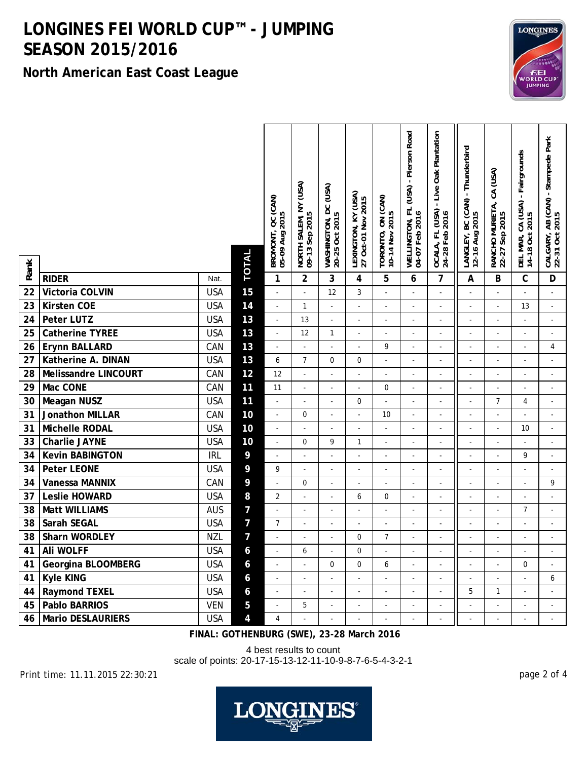**North American East Coast League**



 $\vert$   $\mathbf{z}$ 

 $\mathbf{I}$ 

 $\mathbb{I}$ 

 $\vert$  g

| Rank |                          |            | <b>TOTAL</b>   | BROMONT, QC (CAN)<br>05-09 Aug 2015 | NORTH SALEM, NY (USA)<br>09-13 Sep 2015 | WASHINGTON, DC (USA)<br>20-25 Oct 2015 | LEXINGTON, KY (USA)<br>27 Oct-01 Nov 2015 | TORONTO, ON (CAN)<br>10-14 Nov 2015 | WELLINGTON, FL (USA) - Pierson Road<br>04-07 Feb 2016 | - Live Oak Plantation<br>OCALA, FL (USA)<br>24-28 Feb 2016 | LANGLEY, BC (CAN) - Thunderbird<br>12-16 Aug 2015 | RANCHO MURIETA, CA (USA)<br>22-27 Sep 2015 | DEL MAR, CA (USA) - Fairgrounds<br>14-18 Oct 2015 | CALGARY, AB (CAN) - Stampede Park<br>22-31 Oct 2015 |
|------|--------------------------|------------|----------------|-------------------------------------|-----------------------------------------|----------------------------------------|-------------------------------------------|-------------------------------------|-------------------------------------------------------|------------------------------------------------------------|---------------------------------------------------|--------------------------------------------|---------------------------------------------------|-----------------------------------------------------|
|      | <b>RIDER</b>             | Nat.       |                | $\mathbf{1}$                        | $\overline{2}$                          | 3                                      | $\overline{\mathbf{4}}$                   | $\overline{5}$                      | 6                                                     | $\overline{7}$                                             | A                                                 | B                                          | $\mathsf{C}$                                      | D                                                   |
| 22   | Victoria COLVIN          | <b>USA</b> | 15             | $\blacksquare$                      | $\overline{a}$                          | 12                                     | 3                                         | $\Box$                              | ÷,                                                    | $\overline{a}$                                             | ÷,                                                | $\overline{a}$                             |                                                   | ÷,                                                  |
| 23   | <b>Kirsten COE</b>       | <b>USA</b> | 14             | $\overline{\phantom{a}}$            | $\mathbf{1}$                            | $\overline{a}$                         | ÷,                                        | $\overline{a}$                      | L.                                                    | $\overline{a}$                                             | L.                                                | $\mathbf{r}$                               | 13                                                | $\mathbf{r}$                                        |
| 24   | Peter LUTZ               | <b>USA</b> | 13             | $\Box$                              | 13                                      | $\overline{\phantom{a}}$               | $\overline{\phantom{a}}$                  | $\overline{\phantom{a}}$            | L.                                                    | $\sim$                                                     | ÷,                                                | $\mathbf{r}$                               | $\overline{\phantom{a}}$                          | $\mathbf{r}$                                        |
| 25   | Catherine TYREE          | <b>USA</b> | 13             | $\overline{\phantom{a}}$            | 12                                      | $\mathbf{1}$                           | $\overline{a}$                            | $\overline{a}$                      | $\overline{a}$                                        | ÷,                                                         |                                                   | $\overline{a}$                             | $\overline{a}$                                    | $\overline{a}$                                      |
| 26   | Erynn BALLARD            | CAN        | 13             | $\overline{\phantom{a}}$            | $\Box$                                  | ÷,                                     | $\overline{a}$                            | 9                                   | ÷,                                                    |                                                            |                                                   | ÷,                                         | ÷,                                                | $\overline{4}$                                      |
| 27   | Katherine A. DINAN       | <b>USA</b> | 13             | 6                                   | $\overline{7}$                          | $\mathbf 0$                            | 0                                         | $\overline{a}$                      | L.                                                    |                                                            |                                                   | $\sim$                                     |                                                   |                                                     |
| 28   | Melissandre LINCOURT     | CAN        | 12             | 12                                  | $\overline{\phantom{a}}$                | $\overline{a}$                         | $\overline{a}$                            | $\overline{\phantom{a}}$            | $\overline{\phantom{a}}$                              | $\overline{a}$                                             | $\overline{a}$                                    | $\overline{\phantom{a}}$                   | $\overline{\phantom{a}}$                          | $\overline{\phantom{a}}$                            |
| 29   | Mac CONE                 | CAN        | 11             | 11                                  | $\Box$                                  | ÷,                                     | ÷,                                        | $\pmb{0}$                           | $\blacksquare$                                        | ÷,                                                         | ÷,                                                | $\mathbf{r}$                               | ÷,                                                | $\Box$                                              |
| 30   | <b>Meagan NUSZ</b>       | <b>USA</b> | 11             | $\overline{\phantom{a}}$            | $\sim$                                  | $\overline{\phantom{a}}$               | $\mathbf{0}$                              | $\mathbb{L}$                        | $\overline{a}$                                        | $\overline{\phantom{a}}$                                   | ÷,                                                | $\overline{7}$                             | $\overline{4}$                                    | $\sim$                                              |
| 31   | Jonathon MILLAR          | CAN        | 10             | $\overline{\phantom{a}}$            | 0                                       | ÷,                                     | $\sim$                                    | 10                                  | $\overline{a}$                                        | ÷.                                                         | ÷,                                                | $\overline{a}$                             | $\overline{a}$                                    | ÷,                                                  |
| 31   | Michelle RODAL           | <b>USA</b> | 10             | $\overline{\phantom{a}}$            | $\overline{a}$                          | ÷,                                     | L.                                        | $\overline{a}$                      | ä,                                                    | $\overline{a}$                                             | L.                                                | $\overline{a}$                             | 10                                                | $\overline{\phantom{a}}$                            |
| 33   | <b>Charlie JAYNE</b>     | <b>USA</b> | 10             | $\overline{\phantom{a}}$            | 0                                       | 9                                      | $\mathbf{1}$                              | $\overline{a}$                      |                                                       |                                                            |                                                   |                                            |                                                   |                                                     |
| 34   | <b>Kevin BABINGTON</b>   | <b>IRL</b> | 9              | $\blacksquare$                      | $\sim$                                  |                                        | L.                                        | $\overline{a}$                      | L.                                                    |                                                            |                                                   |                                            | 9                                                 |                                                     |
| 34   | Peter LEONE              | <b>USA</b> | 9              | 9                                   |                                         | $\overline{a}$                         | $\overline{a}$                            | $\overline{a}$                      | ÷,                                                    | $\overline{\phantom{a}}$                                   |                                                   | $\sim$                                     |                                                   | $\overline{\phantom{a}}$                            |
| 34   | <b>Vanessa MANNIX</b>    | CAN        | 9              | $\overline{\phantom{a}}$            | 0                                       | $\overline{\phantom{a}}$               | ÷,                                        | $\blacksquare$                      | ÷,                                                    | ÷,                                                         | $\overline{a}$                                    | $\overline{\phantom{a}}$                   |                                                   | 9                                                   |
| 37   | <b>Leslie HOWARD</b>     | <b>USA</b> | 8              | $\overline{2}$                      | $\omega$                                | $\overline{\phantom{a}}$               | 6                                         | $\mathbf 0$                         | L.                                                    | $\overline{\phantom{a}}$                                   | ÷,                                                | $\mathbf{r}$                               | ÷,                                                | $\sim$                                              |
| 38   | <b>Matt WILLIAMS</b>     | <b>AUS</b> | $\overline{7}$ | $\overline{\phantom{a}}$            | ÷,                                      | $\overline{a}$                         | $\overline{a}$                            | $\overline{a}$                      | L.                                                    |                                                            |                                                   | $\overline{a}$                             | $\overline{7}$                                    | $\overline{\phantom{a}}$                            |
| 38   | Sarah SEGAL              | <b>USA</b> | $\overline{7}$ | $\overline{7}$                      | $\sim$                                  |                                        | L,                                        | $\overline{a}$                      | L.                                                    |                                                            |                                                   |                                            |                                                   |                                                     |
| 38   | Sharn WORDLEY            | <b>NZL</b> | $\overline{7}$ | L.                                  | $\sim$                                  |                                        | $\mathbf 0$                               | $\overline{7}$                      | L.                                                    |                                                            |                                                   |                                            | ÷,                                                |                                                     |
| 41   | Ali WOLFF                | <b>USA</b> | 6              | $\overline{\phantom{a}}$            | 6                                       | $\overline{a}$                         | $\mathbf 0$                               | L,                                  | $\overline{\phantom{a}}$                              | $\overline{a}$                                             | L.                                                | $\overline{a}$                             |                                                   | $\overline{a}$                                      |
| 41   | Georgina BLOOMBERG       | <b>USA</b> | 6              | $\overline{\phantom{a}}$            | $\blacksquare$                          | $\mathbf 0$                            | $\mathbf 0$                               | 6                                   | $\overline{\phantom{a}}$                              | ÷,                                                         | ÷,                                                | $\overline{\phantom{a}}$                   | $\Omega$                                          | ÷,                                                  |
| 41   | <b>Kyle KING</b>         | <b>USA</b> | 6              | $\sim$                              | $\sim$                                  | $\overline{\phantom{a}}$               | ÷,                                        | $\overline{a}$                      | L.                                                    | $\overline{\phantom{a}}$                                   |                                                   |                                            |                                                   | 6                                                   |
| 44   | <b>Raymond TEXEL</b>     | <b>USA</b> | 6              | $\overline{a}$                      | $\overline{a}$                          | ÷.                                     | $\overline{a}$                            | $\overline{a}$                      | $\overline{a}$                                        | $\overline{a}$                                             | 5                                                 | $\mathbf{1}$                               | ÷,                                                | $\sim$                                              |
| 45   | <b>Pablo BARRIOS</b>     | <b>VEN</b> | 5              | $\overline{\phantom{a}}$            | 5                                       |                                        | L,                                        | $\overline{a}$                      |                                                       |                                                            |                                                   | $\overline{a}$                             |                                                   |                                                     |
| 46   | <b>Mario DESLAURIERS</b> | <b>USA</b> | $\overline{4}$ | 4                                   |                                         |                                        | ÷,                                        | $\overline{a}$                      |                                                       |                                                            |                                                   | $\overline{a}$                             |                                                   |                                                     |

**FINAL: GOTHENBURG (SWE), 23-28 March 2016**

4 best results to count

scale of points: 20-17-15-13-12-11-10-9-8-7-6-5-4-3-2-1

Print time: 11.11.2015 22:30:21 page 2 of 4

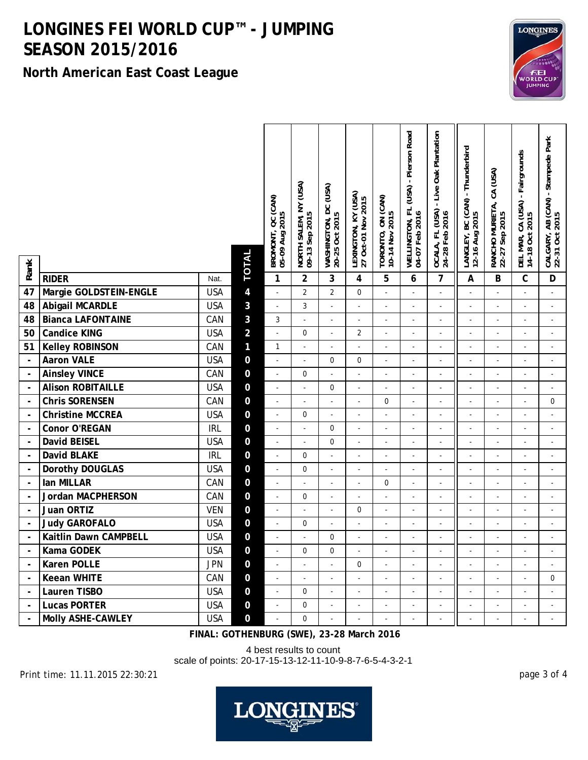**North American East Coast League**



 $\vert$   $\sigma$ 

 $\overline{1}$ 

 $\parallel$ 

 $\vert$   $\epsilon$ 

| Rank                     |                          |            | <b>TOTAL</b>   | BROMONT, QC (CAN)<br>05-09 Aug 2015 | NORTH SALEM, NY (USA)<br>09-13 Sep 2015 | WASHINGTON, DC (USA)<br>20-25 Oct 2015 | LEXINGTON, KY (USA)<br>27 Oct-01 Nov 2015 | TORONTO, ON (CAN)<br>10-14 Nov 2015 | WELLINGTON, FL (USA) - Pierson Road<br>04-07 Feb 2016 | - Live Oak Plantation<br>OCALA, FL (USA)<br>24-28 Feb 2016 | - Thunderbird<br>LANGLEY, BC (CAN)<br>12-16 Aug 2015 | RANCHO MURIETA, CA (USA)<br>22-27 Sep 2015 | - Fairgrounds<br>DEL MAR, CA (USA)<br>14-18 Oct 2015 | CALGARY, AB (CAN) - Stampede Park<br>22-31 Oct 2015 |
|--------------------------|--------------------------|------------|----------------|-------------------------------------|-----------------------------------------|----------------------------------------|-------------------------------------------|-------------------------------------|-------------------------------------------------------|------------------------------------------------------------|------------------------------------------------------|--------------------------------------------|------------------------------------------------------|-----------------------------------------------------|
|                          | <b>RIDER</b>             | Nat.       |                | 1                                   | $\overline{2}$                          | 3                                      | 4                                         | 5                                   | 6                                                     | $\overline{7}$                                             | $\boldsymbol{\mathsf{A}}$                            | B                                          | $\mathbf{C}$                                         | D                                                   |
| $\overline{47}$          | Margie GOLDSTEIN-ENGLE   | <b>USA</b> | $\overline{4}$ | $\overline{\phantom{a}}$            | $\overline{2}$                          | $\overline{2}$                         | 0                                         | $\overline{\phantom{a}}$            | $\overline{a}$                                        | ÷,                                                         |                                                      |                                            |                                                      | $\blacksquare$                                      |
| 48                       | <b>Abigail MCARDLE</b>   | <b>USA</b> | 3              | $\blacksquare$                      | 3                                       | $\overline{a}$                         | $\overline{a}$                            | ÷,                                  | L.                                                    | $\mathbf{r}$                                               |                                                      | $\sim$                                     | ÷,                                                   | $\sim$                                              |
| 48                       | <b>Bianca LAFONTAINE</b> | CAN        | 3              | 3                                   | $\overline{a}$                          | $\overline{a}$                         | ÷,                                        | $\overline{a}$                      | $\overline{a}$                                        | L.                                                         | ÷,                                                   | $\overline{a}$                             | $\overline{\phantom{a}}$                             | $\Box$                                              |
| $\overline{50}$          | <b>Candice KING</b>      | <b>USA</b> | $\overline{2}$ | $\Box$                              | $\mathbf 0$                             | $\overline{a}$                         | $\overline{2}$                            | $\overline{a}$                      | L,                                                    | L                                                          |                                                      | $\overline{a}$                             | $\overline{a}$                                       | $\overline{a}$                                      |
| 51                       | <b>Kelley ROBINSON</b>   | CAN        | 1              | $\mathbf{1}$                        | ÷,                                      | ÷,                                     | ÷,                                        | ÷,                                  |                                                       | L,                                                         |                                                      |                                            |                                                      | ÷,                                                  |
| $\mathbb{R}^2$           | <b>Aaron VALE</b>        | <b>USA</b> | $\mathbf 0$    | $\blacksquare$                      | ÷,                                      | $\boldsymbol{0}$                       | 0                                         | ÷,                                  | L,                                                    | ÷,                                                         |                                                      | ÷,                                         | ÷,                                                   | $\omega$                                            |
| Ţ                        | <b>Ainsley VINCE</b>     | CAN        | $\mathbf 0$    | $\Box$                              | 0                                       | $\overline{\phantom{a}}$               | $\overline{a}$                            | $\overline{a}$                      | $\overline{a}$                                        | $\overline{a}$                                             | ÷,                                                   | ÷,                                         | $\blacksquare$                                       |                                                     |
|                          | <b>Alison ROBITAILLE</b> | <b>USA</b> | $\mathbf 0$    | $\blacksquare$                      | $\Box$                                  | $\boldsymbol{0}$                       | $\overline{\phantom{a}}$                  | $\overline{a}$                      | ÷,                                                    | ÷,                                                         | ÷,                                                   | $\sim$                                     | $\omega$                                             | $\Box$                                              |
| Ţ                        | <b>Chris SORENSEN</b>    | CAN        | $\overline{0}$ | $\overline{\phantom{a}}$            | $\sim$                                  | $\overline{\phantom{a}}$               | $\overline{\phantom{a}}$                  | $\mathbf 0$                         | ÷,                                                    | $\blacksquare$                                             | ÷,                                                   | $\overline{\phantom{a}}$                   | $\overline{\phantom{a}}$                             | $\mathbf 0$                                         |
| $\blacksquare$           | <b>Christine MCCREA</b>  | <b>USA</b> | $\mathbf 0$    | $\blacksquare$                      | 0                                       | $\overline{\phantom{a}}$               | $\overline{\phantom{a}}$                  | $\overline{a}$                      | ÷.                                                    | $\overline{a}$                                             | L.                                                   | $\overline{\phantom{a}}$                   | $\overline{a}$                                       | $\blacksquare$                                      |
| $\overline{\phantom{a}}$ | Conor O'REGAN            | <b>IRL</b> | $\pmb{0}$      | $\overline{\phantom{a}}$            | $\overline{a}$                          | $\mathbf 0$                            | $\overline{a}$                            | ÷,                                  | L.                                                    | ÷,                                                         | ÷,                                                   | ÷,                                         | ÷,                                                   | $\sim$                                              |
| $\overline{\phantom{a}}$ | David BEISEL             | <b>USA</b> | $\mathbf 0$    | $\overline{a}$                      | $\overline{a}$                          | $\mathbf 0$                            | L.                                        | $\overline{a}$                      |                                                       | $\overline{a}$                                             |                                                      | $\overline{a}$                             | L.                                                   | $\overline{a}$                                      |
| $\ddot{\phantom{a}}$     | <b>David BLAKE</b>       | <b>IRL</b> | $\mathbf 0$    | $\overline{\phantom{a}}$            | $\boldsymbol{0}$                        | $\overline{\phantom{a}}$               | L.                                        | $\overline{a}$                      |                                                       | $\overline{a}$                                             |                                                      |                                            |                                                      | $\blacksquare$                                      |
| $\overline{\phantom{a}}$ | Dorothy DOUGLAS          | <b>USA</b> | $\pmb{0}$      | $\Box$                              | $\mathbf 0$                             | $\overline{\phantom{a}}$               | $\blacksquare$                            | $\overline{\phantom{a}}$            | ÷,                                                    | $\blacksquare$                                             |                                                      | $\overline{\phantom{a}}$                   | $\overline{\phantom{a}}$                             | $\Box$                                              |
| $\overline{\phantom{a}}$ | lan MILLAR               | CAN        | $\mathbf 0$    | $\blacksquare$                      | ÷,                                      | $\overline{\phantom{a}}$               | $\blacksquare$                            | 0                                   | ÷,                                                    | $\sim$                                                     |                                                      | $\overline{\phantom{a}}$                   | $\overline{\phantom{a}}$                             | ÷,                                                  |
| $\sim$                   | Jordan MACPHERSON        | CAN        | $\pmb{0}$      | $\blacksquare$                      | 0                                       | $\overline{\phantom{a}}$               | $\blacksquare$                            | $\overline{a}$                      | ÷,                                                    | ÷,                                                         | ÷,                                                   | $\sim$                                     | ÷,                                                   | $\blacksquare$                                      |
| $\sim$                   | Juan ORTIZ               | <b>VEN</b> | $\mathbf 0$    | $\overline{\phantom{a}}$            | ÷,                                      | $\overline{a}$                         | 0                                         | $\overline{a}$                      | L,                                                    | $\overline{a}$                                             |                                                      | $\overline{a}$                             | ÷,                                                   | $\blacksquare$                                      |
|                          | <b>Judy GAROFALO</b>     | <b>USA</b> | $\mathbf 0$    | $\blacksquare$                      | 0                                       | $\overline{a}$                         | L.                                        | $\overline{a}$                      |                                                       | $\overline{a}$                                             |                                                      | ÷,                                         | L.                                                   | $\omega$                                            |
|                          | Kaitlin Dawn CAMPBELL    | <b>USA</b> | $\mathbf 0$    | $\overline{\phantom{a}}$            |                                         | $\pmb{0}$                              | ÷,                                        | $\overline{a}$                      |                                                       | L                                                          |                                                      |                                            |                                                      |                                                     |
| $\ddot{\phantom{a}}$     | Kama GODEK               | <b>USA</b> | $\mathbf 0$    | $\blacksquare$                      | 0                                       | $\boldsymbol{0}$                       | ÷,                                        | $\overline{a}$                      | L.                                                    | $\mathbf{r}$                                               | ÷,                                                   | $\overline{a}$                             | ÷,                                                   | $\blacksquare$                                      |
| Ţ                        | Karen POLLE              | <b>JPN</b> | $\pmb{0}$      | $\omega$                            | $\blacksquare$                          | $\overline{a}$                         | $\mathbf 0$                               | $\overline{a}$                      | ÷,                                                    | ÷,                                                         | ÷,                                                   | $\sim$                                     | $\omega$                                             |                                                     |
| $\overline{\phantom{a}}$ | <b>Keean WHITE</b>       | CAN        | $\mathbf 0$    | $\mathbf{r}$                        | $\overline{a}$                          | $\overline{a}$                         | $\overline{a}$                            | $\overline{a}$                      | L.                                                    | $\mathbf{r}$                                               |                                                      | $\overline{a}$                             |                                                      | $\mathbf 0$                                         |
|                          | Lauren TISBO             | <b>USA</b> | $\pmb{0}$      | $\omega$                            | 0                                       | $\overline{a}$                         | ÷.                                        | $\overline{a}$                      | ä,                                                    | L.                                                         | ÷,                                                   | ÷.                                         | ÷,                                                   | $\overline{a}$                                      |
| $\overline{\phantom{a}}$ | <b>Lucas PORTER</b>      | <b>USA</b> | ${\bf 0}$      | $\overline{a}$                      | $\boldsymbol{0}$                        | $\overline{a}$                         | L.                                        | $\overline{a}$                      |                                                       | $\overline{a}$                                             |                                                      | $\overline{a}$                             | ÷,                                                   | $\overline{a}$                                      |
| $\overline{\phantom{a}}$ | Molly ASHE-CAWLEY        | <b>USA</b> | $\overline{0}$ | ÷,                                  | $\overline{0}$                          | ÷,                                     | ÷,                                        |                                     |                                                       | L                                                          |                                                      |                                            |                                                      |                                                     |

**FINAL: GOTHENBURG (SWE), 23-28 March 2016**

4 best results to count

scale of points: 20-17-15-13-12-11-10-9-8-7-6-5-4-3-2-1

Print time: 11.11.2015 22:30:21 page 3 of 4